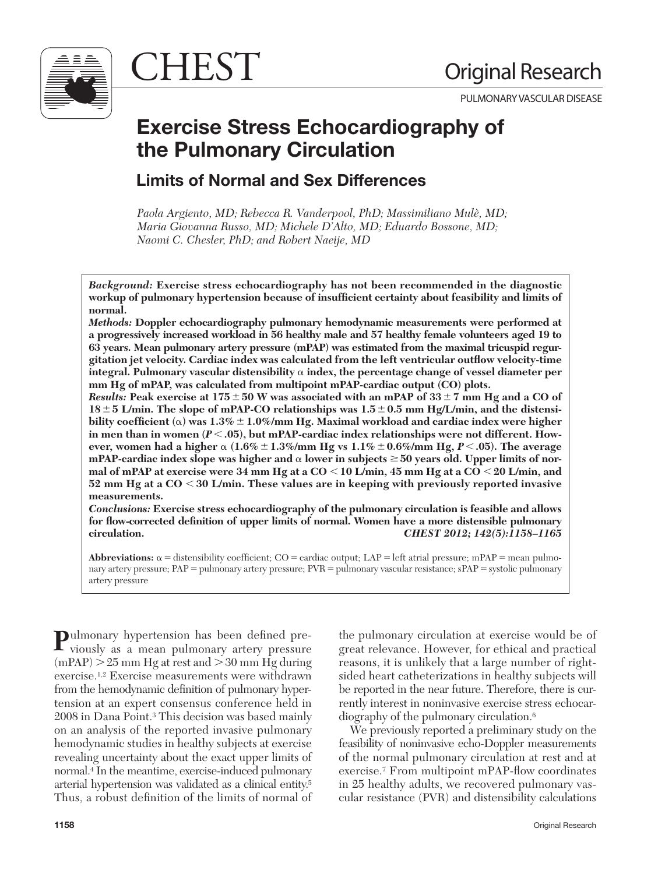

CHEST Original Research

PULMONARY VASCULAR DISEASE

# **Exercise Stress Echocardiography of the Pulmonary Circulation**

## **Limits of Normal and Sex Differences**

Paola Argiento, MD; Rebecca R. Vanderpool, PhD; Massimiliano Mulè, MD; *Maria Giovanna Russo, MD; Michele D'Alto, MD; Eduardo Bossone, MD; Naomi C. Chesler, PhD; and Robert Naeije, MD* 

*Background:* **Exercise stress echocardiography has not been recommended in the diagnostic**  workup of pulmonary hypertension because of insufficient certainty about feasibility and limits of **normal.** 

*Methods:* **Doppler echocardiography pulmonary hemodynamic measurements were performed at a progressively increased workload in 56 healthy male and 57 healthy female volunteers aged 19 to 63 years. Mean pulmonary artery pressure (mPAP) was estimated from the maximal tricuspid regurgitation jet velocity. Cardiac index was calculated from the left ventricular outfl ow velocity-time integral. Pulmonary vascular distensibility**  $\alpha$  index, the percentage change of vessel diameter per **mm Hg of mPAP, was calculated from multipoint mPAP-cardiac output (CO) plots.** 

*Results:* Peak exercise at  $175 \pm 50$  W was associated with an mPAP of  $33 \pm 7$  mm Hg and a CO of  $18 \pm 5$  L/min. The slope of mPAP-CO relationships was  $1.5 \pm 0.5$  mm Hg/L/min, and the distensibility coefficient (**a**) was  $1.3\% \pm 1.0\%$ /mm Hg. Maximal workload and cardiac index were higher in men than in women  $(P < .05)$ , but mPAP-cardiac index relationships were not different. How**ever, women had a higher** a **(1.6%** - **1.3%/mm Hg vs 1.1%** - **0.6%/mm Hg,** *P*, **.05). The average mPAP-cardiac index slope was higher and**  $\alpha$  **lower in subjects**  $\geq 50$  **years old. Upper limits of normal of mPAP at exercise were 34 mm Hg at a CO** , **10 L/min, 45 mm Hg at a CO** , **20 L/min, and 52 mm Hg at a CO** , **30 L/min. These values are in keeping with previously reported invasive measurements.** 

*Conclusions:* **Exercise stress echocardiography of the pulmonary circulation is feasible and allows**  for flow-corrected definition of upper limits of normal. Women have a more distensible pulmonary **circulation.** *CHEST 2012; 142(5):1158–1165* 

**Abbreviations:**  $\alpha$  = distensibility coefficient; CO = cardiac output; LAP = left atrial pressure; mPAP = mean pulmonary artery pressure; PAP = pulmonary artery pressure; PVR = pulmonary vascular resistance; sPAP = systolic pulmonary artery pressure

**P**ulmonary hypertension has been defined previously as a mean pulmonary artery pressure  $(mPAP) > 25$  mm Hg at rest and  $> 30$  mm Hg during exercise.<sup>1,2</sup> Exercise measurements were withdrawn from the hemodynamic definition of pulmonary hypertension at an expert consensus conference held in 2008 in Dana Point. 3 This decision was based mainly on an analysis of the reported invasive pulmonary hemodynamic studies in healthy subjects at exercise revealing uncertainty about the exact upper limits of normal.<sup>4</sup> In the meantime, exercise-induced pulmonary arterial hypertension was validated as a clinical entity. 5 Thus, a robust definition of the limits of normal of the pulmonary circulation at exercise would be of great relevance. However, for ethical and practical reasons, it is unlikely that a large number of rightsided heart catheterizations in healthy subjects will be reported in the near future. Therefore, there is currently interest in noninvasive exercise stress echocardiography of the pulmonary circulation. 6

 We previously reported a preliminary study on the feasibility of noninvasive echo-Doppler measurements of the normal pulmonary circulation at rest and at exercise.<sup>7</sup> From multipoint mPAP-flow coordinates in 25 healthy adults, we recovered pulmonary vascular resistance (PVR) and distensibility calculations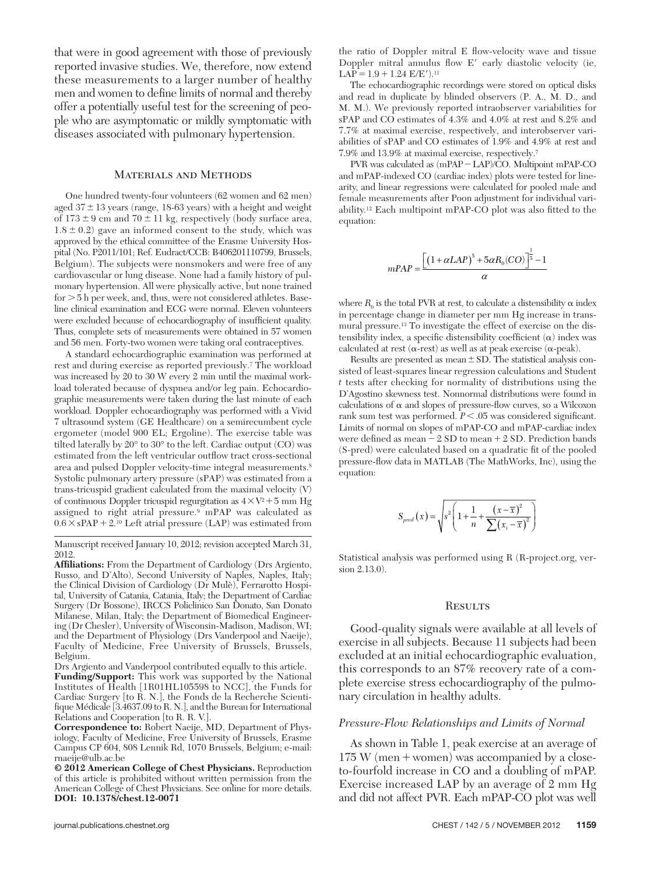that were in good agreement with those of previously reported invasive studies. We, therefore, now extend these measurements to a larger number of healthy men and women to define limits of normal and thereby offer a potentially useful test for the screening of people who are asymptomatic or mildly symptomatic with diseases associated with pulmonary hypertension.

#### Materials and Methods

 One hundred twenty-four volunteers (62 women and 62 men) aged  $37 \pm 13$  years (range, 18-63 years) with a height and weight of  $173 \pm 9$  cm and  $70 \pm 11$  kg, respectively (body surface area,  $1.8 \pm 0.2$ ) gave an informed consent to the study, which was approved by the ethical committee of the Erasme University Hospital (No. P2011/101; Ref. Eudract/CCB: B406201110799, Brussels, Belgium). The subjects were nonsmokers and were free of any cardiovascular or lung disease. None had a family history of pulmonary hypertension. All were physically active, but none trained  $for  $5h$  per week, and, thus, were not considered athlete. Base$ line clinical examination and ECG were normal. Eleven volunteers were excluded because of echocardiography of insufficient quality. Thus, complete sets of measurements were obtained in 57 women and 56 men. Forty-two women were taking oral contraceptives.

 A standard echocardiographic examination was performed at rest and during exercise as reported previously.<sup>7</sup> The workload was increased by 20 to 30 W every 2 min until the maximal workload tolerated because of dyspnea and/or leg pain. Echocardiographic measurements were taken during the last minute of each workload. Doppler echocardiography was performed with a Vivid 7 ultrasound system (GE Healthcare) on a semirecumbent cycle ergometer (model 900 EL; Ergoline). The exercise table was tilted laterally by 20° to 30° to the left. Cardiac output (CO) was estimated from the left ventricular outflow tract cross-sectional area and pulsed Doppler velocity-time integral measurements. 8 Systolic pulmonary artery pressure (sPAP) was estimated from a trans-tricuspid gradient calculated from the maximal velocity (V) of continuous Doppler tricuspid regurgitation as  $4 \times V^2 + 5$  mm Hg assigned to right atrial pressure.<sup>9</sup> mPAP was calculated as  $0.6 \times$  sPAP + 2.<sup>10</sup> Left atrial pressure (LAP) was estimated from

 Manuscript received January 10, 2012; revision accepted March 31, 2012 .

Affiliations: From the Department of Cardiology (Drs Argiento, Russo, and D'Alto), Second University of Naples, Naples, Italy; the Clinical Division of Cardiology (Dr Mulè), Ferrarotto Hospital, University of Catania, Catania, Italy; the Department of Cardiac Surgery (Dr Bossone), IRCCS Policlinico San Donato, San Donato Milanese, Milan, Italy; the Department of Biomedical Engineering (Dr Chesler), University of Wisconsin-Madison, Madison, WI; and the Department of Physiology (Drs Vanderpool and Naeije), Faculty of Medicine, Free University of Brussels, Brussels, Belgium.

 Drs Argiento and Vanderpool contributed equally to this article . **Funding/Support:** This work was supported by the National Institutes of Health [1R01HL105598 to NCC], the Funds for Cardiac Surgery [to R. N.], the Fonds de la Recherche Scientifique Médicale [3.4637.09 to R. N.], and the Bureau for International Relations and Cooperation [to R. R. V.].

**Correspondence to:** Robert Naeije, MD, Department of Physiology, Faculty of Medicine, Free University of Brussels, Erasme Campus CP 604, 808 Lennik Rd, 1070 Brussels, Belgium; e-mail: [rnaeije@ulb.ac.be](mailto:rnaeije@ulb.ac.be) 

**© 2012 American College of Chest Physicians.** Reproduction of this article is prohibited without written permission from the American College of Chest Physicians. See online for more details. **DOI: 10.1378/chest.12-0071** 

the ratio of Doppler mitral E flow-velocity wave and tissue Doppler mitral annulus flow  $E'$  early diastolic velocity (ie,  $LA\overline{P} = 1.9 + 1.24$   $E/E'/1.11$ 

 The echocardiographic recordings were stored on optical disks and read in duplicate by blinded observers (P. A., M. D., and M. M.). We previously reported intraobserver variabilities for sPAP and CO estimates of 4.3% and 4.0% at rest and 8.2% and 7.7% at maximal exercise, respectively, and interobserver variabilities of sPAP and CO estimates of 1.9% and 4.9% at rest and 7.9% and 13.9% at maximal exercise, respectively. 7

PVR was calculated as  $(mPAP-LAP)/CO$ . Multipoint mPAP-CO and mPAP-indexed CO (cardiac index) plots were tested for linearity, and linear regressions were calculated for pooled male and female measurements after Poon adjustment for individual variability.<sup>12</sup> Each multipoint mPAP-CO plot was also fitted to the equation:

$$
mPAP = \frac{\left[ (1 + \alpha LAP)^5 + 5\alpha R_0(CO) \right]^{\frac{1}{5}} - 1}{\alpha}
$$

where  $R_0$  is the total PVR at rest, to calculate a distensibility  $\alpha$  index in percentage change in diameter per mm Hg increase in transmural pressure. 13 To investigate the effect of exercise on the distensibility index, a specific distensibility coefficient  $(\alpha)$  index was calculated at rest ( $\alpha$ -rest) as well as at peak exercise ( $\alpha$ -peak).

Results are presented as mean  $\pm$  SD. The statistical analysis consisted of least-squares linear regression calculations and Student *t* tests after checking for normality of distributions using the D'Agostino skewness test. Nonnormal distributions were found in calculations of  $\alpha$  and slopes of pressure-flow curves, so a Wilcoxon rank sum test was performed.  $P < .05$  was considered significant. Limits of normal on slopes of mPAP-CO and mPAP-cardiac index were defined as mean  $-2$  SD to mean  $+ 2$  SD. Prediction bands (S-pred) were calculated based on a quadratic fit of the pooled pressure-flow data in MATLAB (The MathWorks, Inc), using the equation:

$$
S_{pred}(x) = \sqrt{s^2 \left(1 + \frac{1}{n} + \frac{(x - \overline{x})^2}{\sum(x_i - \overline{x})^2}\right)}
$$

 Statistical analysis was performed using R (R-project.org, version 2.13.0).

#### **RESULTS**

 Good-quality signals were available at all levels of exercise in all subjects. Because 11 subjects had been excluded at an initial echocardiographic evaluation, this corresponds to an 87% recovery rate of a complete exercise stress echocardiography of the pulmonary circulation in healthy adults.

#### *Pressure-Flow Relationships and Limits of Normal*

As shown in Table 1, peak exercise at an average of  $175 W (men + women) was accompanied by a close$ to-fourfold increase in CO and a doubling of mPAP. Exercise increased LAP by an average of 2 mm Hg and did not affect PVR. Each mPAP-CO plot was well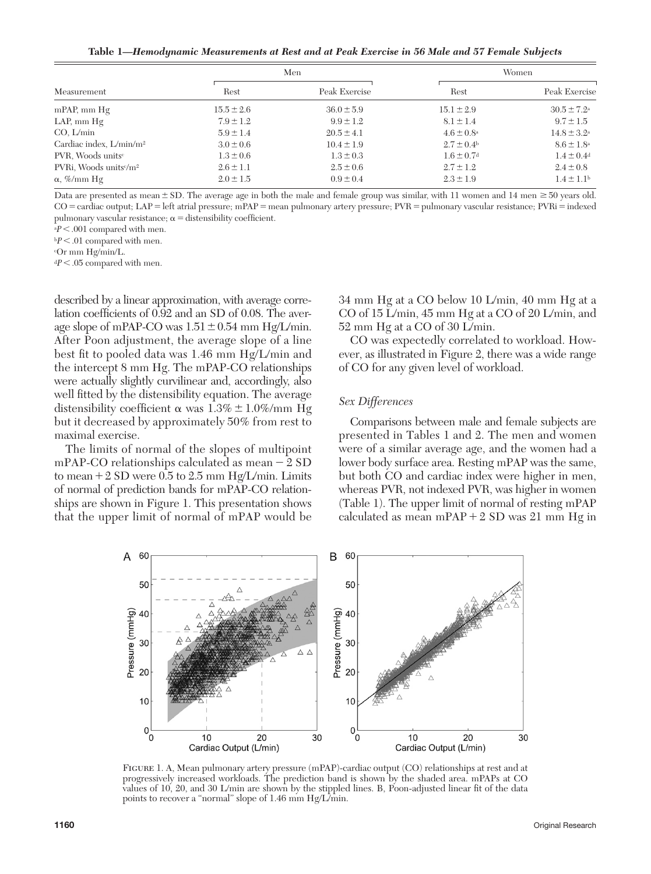**Table 1***— Hemodynamic Measurements at Rest and at Peak Exercise in 56 Male and 57 Female Subjects* 

| Measurement                                  | Men            |                | Women                      |                            |
|----------------------------------------------|----------------|----------------|----------------------------|----------------------------|
|                                              | Rest           | Peak Exercise  | Rest                       | Peak Exercise              |
| $mPAP$ , mm $Hg$                             | $15.5 \pm 2.6$ | $36.0 \pm 5.9$ | $15.1 \pm 2.9$             | $30.5 \pm 7.2^{\circ}$     |
| $LAP$ , mm $Hg$                              | $7.9 \pm 1.2$  | $9.9 \pm 1.2$  | $8.1 \pm 1.4$              | $9.7 \pm 1.5$              |
| CO, L/min                                    | $5.9 \pm 1.4$  | $20.5 \pm 4.1$ | $4.6 \pm 0.8^{\circ}$      | $14.8 \pm 3.2^{\circ}$     |
| Cardiac index, L/min/m <sup>2</sup>          | $3.0 \pm 0.6$  | $10.4 \pm 1.9$ | $2.7 \pm 0.4^{\rm b}$      | $8.6 \pm 1.8^{\circ}$      |
| PVR, Woods units <sup>c</sup>                | $1.3 \pm 0.6$  | $1.3 \pm 0.3$  | $1.6 \pm 0.7$ <sup>d</sup> | $1.4 \pm 0.4$ <sup>d</sup> |
| PVRi, Woods units <sup>c/m<sup>2</sup></sup> | $2.6 \pm 1.1$  | $2.5 \pm 0.6$  | $2.7 \pm 1.2$              | $2.4 \pm 0.8$              |
| $\alpha$ , %/mm Hg                           | $2.0 \pm 1.5$  | $0.9 \pm 0.4$  | $2.3 \pm 1.9$              | $1.4 \pm 1.1$ <sup>b</sup> |

Data are presented as mean  $\pm$  SD. The average age in both the male and female group was similar, with 11 women and 14 men  $\geq$  50 years old. CO = cardiac output; LAP = left atrial pressure; mPAP = mean pulmonary artery pressure; PVR = pulmonary vascular resistance; PVRi = indexed pulmonary vascular resistance;  $\alpha$  = distensibility coefficient.

 $aP < .001$  compared with men.

 $bP < .01$  compared with men.

c Or mm Hg/min/L.

 $dP < .05$  compared with men.

described by a linear approximation, with average correlation coefficients of 0.92 and an SD of 0.08. The average slope of mPAP-CO was  $1.51 \pm 0.54$  mm Hg/L/min. After Poon adjustment, the average slope of a line best fit to pooled data was 1.46 mm  $Hg/L/min$  and the intercept 8 mm Hg. The mPAP-CO relationships were actually slightly curvilinear and, accordingly, also well fitted by the distensibility equation. The average distensibility coefficient  $\alpha$  was  $1.3\% \pm 1.0\% / \text{mm Hg}$ but it decreased by approximately 50% from rest to maximal exercise.

 The limits of normal of the slopes of multipoint mPAP-CO relationships calculated as mean  $-2$  SD to mean  $+ 2$  SD were 0.5 to 2.5 mm Hg/L/min. Limits of normal of prediction bands for mPAP-CO relationships are shown in Figure 1. This presentation shows that the upper limit of normal of mPAP would be 34 mm Hg at a CO below 10 L/min, 40 mm Hg at a CO of 15 L/min, 45 mm Hg at a CO of 20 L/min, and 52 mm Hg at a CO of 30 L/min.

 CO was expectedly correlated to workload. However, as illustrated in Figure 2, there was a wide range of CO for any given level of workload.

#### *Sex Differences*

 Comparisons between male and female subjects are presented in Tables 1 and 2. The men and women were of a similar average age, and the women had a lower body surface area. Resting mPAP was the same, but both CO and cardiac index were higher in men, whereas PVR, not indexed PVR, was higher in women (Table 1). The upper limit of normal of resting mPAP calculated as mean  $mPAP + 2 SD$  was 21 mm Hg in



Figure 1. A, Mean pulmonary artery pressure (mPAP)-cardiac output (CO) relationships at rest and at progressively increased workloads. The prediction band is shown by the shaded area. mPAPs at CO values of 10, 20, and 30 L/min are shown by the stippled lines. B, Poon-adjusted linear fit of the data points to recover a "normal" slope of 1.46 mm Hg/L/min.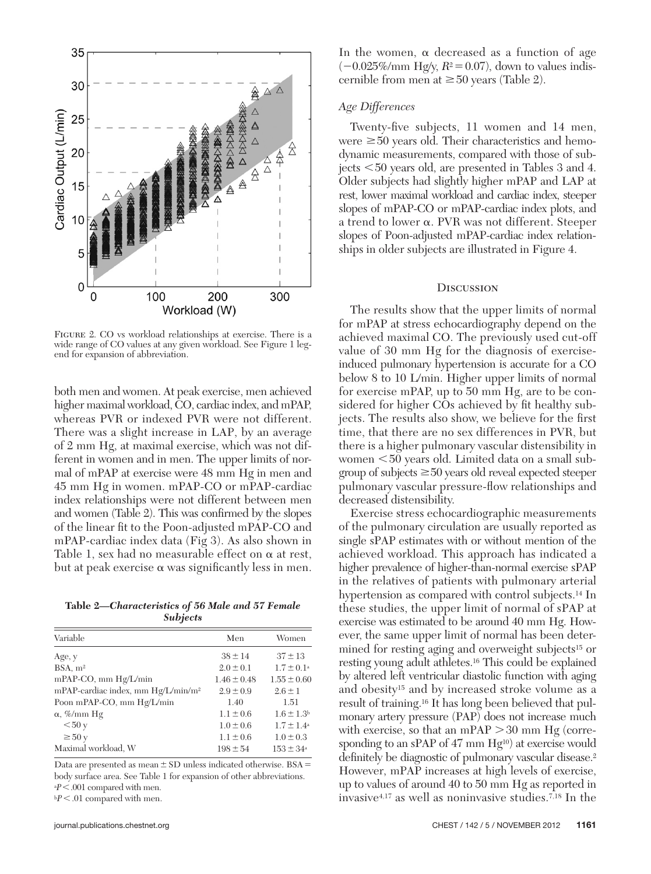

Figure 2. CO vs workload relationships at exercise. There is a wide range of CO values at any given workload. See Figure 1 legend for expansion of abbreviation.

both men and women. At peak exercise, men achieved higher maximal workload, CO, cardiac index, and mPAP, whereas PVR or indexed PVR were not different. There was a slight increase in LAP, by an average of 2 mm Hg, at maximal exercise, which was not different in women and in men. The upper limits of normal of mPAP at exercise were 48 mm Hg in men and 45 mm Hg in women. mPAP-CO or mPAP-cardiac index relationships were not different between men and women (Table 2). This was confirmed by the slopes of the linear fit to the Poon-adjusted mPAP-CO and mPAP-cardiac index data (Fig 3). As also shown in Table 1, sex had no measurable effect on  $\alpha$  at rest, but at peak exercise  $\alpha$  was significantly less in men.

**Table 2***— Characteristics of 56 Male and 57 Female Subjects* 

| Variable                                       | Men             | Women                 |
|------------------------------------------------|-----------------|-----------------------|
| Age, y                                         | $38 \pm 14$     | $37 \pm 13$           |
| BSA, m <sup>2</sup>                            | $2.0 \pm 0.1$   | $1.7 \pm 0.1^{\circ}$ |
| mPAP-CO, mm Hg/L/min                           | $1.46 \pm 0.48$ | $1.55 \pm 0.60$       |
| mPAP-cardiac index, mm Hg/L/min/m <sup>2</sup> | $2.9 \pm 0.9$   | $2.6 \pm 1$           |
| Poon mPAP-CO, mm Hg/L/min                      | 1.40            | 1.51                  |
| $\alpha$ , %/mm Hg                             | $1.1 \pm 0.6$   | $1.6 \pm 1.3$         |
| < 50y                                          | $1.0 \pm 0.6$   | $1.7 \pm 1.4^{\circ}$ |
| $\geq 50y$                                     | $1.1 \pm 0.6$   | $1.0 \pm 0.3$         |
| Maximal workload, W                            | $198 \pm 54$    | $153 \pm 34^{\circ}$  |

Data are presented as mean  $\pm$  SD unless indicated otherwise. BSA = body surface area. See Table 1 for expansion of other abbreviations. <sup>a</sup> $P$  < .001 compared with men.

 $bP < .01$  compared with men.

In the women,  $\alpha$  decreased as a function of age  $(-0.025\%/mm\text{Hg/y}, R^2 = 0.07)$ , down to values indiscernible from men at  $\geq 50$  years (Table 2).

### *Age Differences*

Twenty-five subjects, 11 women and 14 men, were  $\geq 50$  years old. Their characteristics and hemodynamic measurements, compared with those of subjects  $\leq 50$  years old, are presented in Tables 3 and 4. Older subjects had slightly higher mPAP and LAP at rest, lower maximal workload and cardiac index, steeper slopes of mPAP-CO or mPAP-cardiac index plots, and a trend to lower  $\alpha$ . PVR was not different. Steeper slopes of Poon-adjusted mPAP-cardiac index relationships in older subjects are illustrated in Figure 4.

#### **DISCUSSION**

 The results show that the upper limits of normal for mPAP at stress echocardiography depend on the achieved maximal CO. The previously used cut-off value of 30 mm Hg for the diagnosis of exerciseinduced pulmonary hypertension is accurate for a CO below 8 to 10 L/min. Higher upper limits of normal for exercise mPAP, up to 50 mm Hg, are to be considered for higher COs achieved by fit healthy subjects. The results also show, we believe for the first time, that there are no sex differences in PVR, but there is a higher pulmonary vascular distensibility in women  $<$  50 years old. Limited data on a small subgroup of subjects  $\geq 50$  years old reveal expected steeper pulmonary vascular pressure-flow relationships and decreased distensibility.

 Exercise stress echocardiographic measurements of the pulmonary circulation are usually reported as single sPAP estimates with or without mention of the achieved workload. This approach has indicated a higher prevalence of higher-than-normal exercise sPAP in the relatives of patients with pulmonary arterial hypertension as compared with control subjects.<sup>14</sup> In these studies, the upper limit of normal of sPAP at exercise was estimated to be around 40 mm Hg. However, the same upper limit of normal has been determined for resting aging and overweight subjects<sup>15</sup> or resting young adult athletes. 16 This could be explained by altered left ventricular diastolic function with aging and obesity<sup>15</sup> and by increased stroke volume as a result of training. 16 It has long been believed that pulmonary artery pressure (PAP) does not increase much with exercise, so that an mPAP  $>$  30 mm Hg (corresponding to an sPAP of  $47 \text{ mm Hg}^{10}$  at exercise would definitely be diagnostic of pulmonary vascular disease.<sup>2</sup> However, mPAP increases at high levels of exercise, up to values of around 40 to 50 mm Hg as reported in invasive 4,17 as well as noninvasive studies. 7,18 In the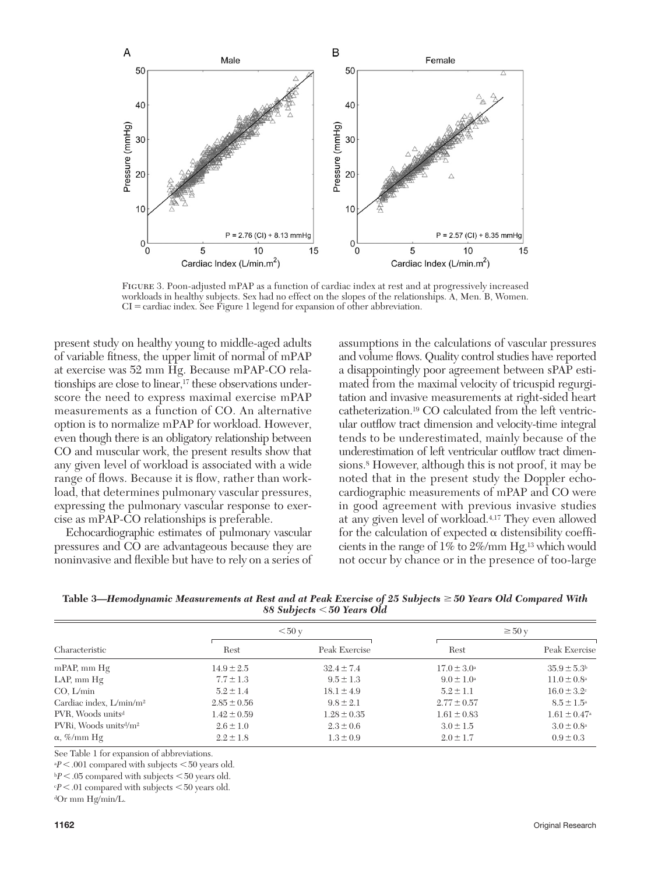

Figure 3. Poon-adjusted mPAP as a function of cardiac index at rest and at progressively increased workloads in healthy subjects. Sex had no effect on the slopes of the relationships. A, Men. B, Women.  $CI =$  cardiac index. See Figure 1 legend for expansion of other abbreviation.

present study on healthy young to middle-aged adults of variable fitness, the upper limit of normal of mPAP at exercise was 52 mm Hg. Because mPAP-CO relationships are close to linear, 17 these observations underscore the need to express maximal exercise mPAP measurements as a function of CO. An alternative option is to normalize mPAP for workload. However, even though there is an obligatory relationship between CO and muscular work, the present results show that any given level of workload is associated with a wide range of flows. Because it is flow, rather than workload, that determines pulmonary vascular pressures, expressing the pulmonary vascular response to exercise as mPAP-CO relationships is preferable.

 Echocardiographic estimates of pulmonary vascular pressures and CO are advantageous because they are noninvasive and flexible but have to rely on a series of assumptions in the calculations of vascular pressures and volume flows. Quality control studies have reported a disappointingly poor agreement between sPAP estimated from the maximal velocity of tricuspid regurgitation and invasive measurements at right-sided heart catheterization. 19 CO calculated from the left ventricular outflow tract dimension and velocity-time integral tends to be underestimated, mainly because of the underestimation of left ventricular outflow tract dimensions.<sup>8</sup> However, although this is not proof, it may be noted that in the present study the Doppler echocardiographic measurements of mPAP and CO were in good agreement with previous invasive studies at any given level of workload. 4,17 They even allowed for the calculation of expected  $\alpha$  distensibility coefficients in the range of 1% to 2%/mm Hg, 13 which would not occur by chance or in the presence of too-large

**Table 3—** *Hemodynamic Measurements at Rest and at Peak Exercise of 25 Subjects 50 Years Old Compared With 88 Subjects* , *50 Years Old* 

|                                                | < 50 y          |                 | $\geq 50$ y            |                             |
|------------------------------------------------|-----------------|-----------------|------------------------|-----------------------------|
| Characteristic                                 | Rest            | Peak Exercise   | Rest                   | Peak Exercise               |
| mPAP, mm Hg                                    | $14.9 \pm 2.5$  | $32.4 \pm 7.4$  | $17.0 \pm 3.0^{\circ}$ | $35.9 \pm 5.3^{\circ}$      |
| LAP, $mm Hg$                                   | $7.7 \pm 1.3$   | $9.5 \pm 1.3$   | $9.0 \pm 1.0^{\circ}$  | $11.0 \pm 0.8^{\circ}$      |
| CO, L/min                                      | $5.2 \pm 1.4$   | $18.1 \pm 4.9$  | $5.2 \pm 1.1$          | $16.0 \pm 3.2$ <sup>c</sup> |
| Cardiac index, $L/min/m^2$                     | $2.85 \pm 0.56$ | $9.8 \pm 2.1$   | $2.77 \pm 0.57$        | $8.5 \pm 1.5^{\circ}$       |
| PVR, Woods units <sup>d</sup>                  | $1.42 \pm 0.59$ | $1.28 \pm 0.35$ | $1.61 \pm 0.83$        | $1.61 \pm 0.47^{\circ}$     |
| PVRi, Woods units <sup>d</sup> /m <sup>2</sup> | $2.6 \pm 1.0$   | $2.3 \pm 0.6$   | $3.0 \pm 1.5$          | $3.0 \pm 0.8^{\circ}$       |
| $\alpha$ , %/mm Hg                             | $2.2 \pm 1.8$   | $1.3 \pm 0.9$   | $2.0 \pm 1.7$          | $0.9 \pm 0.3$               |

See Table 1 for expansion of abbreviations.

 $aP < .001$  compared with subjects  $< 50$  years old.

 $bP < .05$  compared with subjects  $< 50$  years old.

 $cP < .01$  compared with subjects  $< 50$  years old.

dOr mm Hg/min/L.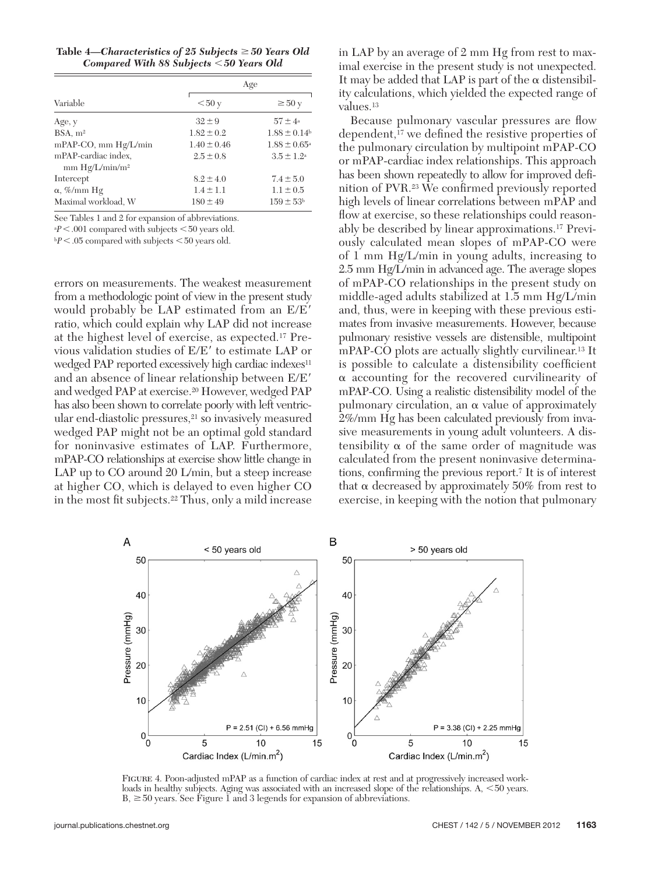| Table 4—Characteristics of 25 Subjects $\geq$ 50 Years Old |
|------------------------------------------------------------|
| Compared With 88 Subjects $<$ 50 Years Old                 |

|                                                   | Age             |                         |
|---------------------------------------------------|-----------------|-------------------------|
| Variable                                          | < 50y           | $\geq 50$ y             |
| Age, y                                            | $32 \pm 9$      | $57 \pm 4^{\circ}$      |
| BSA, m <sup>2</sup>                               | $1.82 \pm 0.2$  | $1.88 \pm 0.14$         |
| mPAP-CO, mm Hg/L/min                              | $1.40 \pm 0.46$ | $1.88 \pm 0.65^{\circ}$ |
| mPAP-cardiac index,<br>mm Hg/L/min/m <sup>2</sup> | $2.5 \pm 0.8$   | $3.5 \pm 1.2^{\circ}$   |
| Intercept                                         | $8.2 \pm 4.0$   | $7.4 \pm 5.0$           |
| $\alpha$ , %/mm Hg                                | $1.4 \pm 1.1$   | $1.1 \pm 0.5$           |
| Maximal workload, W                               | $180 \pm 49$    | $159 \pm 53b$           |

See Tables 1 and 2 for expansion of abbreviations.

 $aP < .001$  compared with subjects  $< 50$  years old.

 $bP < .05$  compared with subjects  $< 50$  years old.

errors on measurements. The weakest measurement from a methodologic point of view in the present study would probably be LAP estimated from an  $E/E'$ ratio, which could explain why LAP did not increase at the highest level of exercise, as expected. 17 Previous validation studies of  $E/E'$  to estimate LAP or wedged PAP reported excessively high cardiac indexes<sup>11</sup> and an absence of linear relationship between  $E/E'$ and wedged PAP at exercise. 20 However, wedged PAP has also been shown to correlate poorly with left ventricular end-diastolic pressures, 21 so invasively measured wedged PAP might not be an optimal gold standard for noninvasive estimates of LAP. Furthermore, mPAP-CO relationships at exercise show little change in LAP up to CO around 20 L/min, but a steep increase at higher CO, which is delayed to even higher CO in the most fit subjects.<sup>22</sup> Thus, only a mild increase in LAP by an average of 2 mm Hg from rest to maximal exercise in the present study is not unexpected. It may be added that LAP is part of the  $\alpha$  distensibility calculations, which yielded the expected range of values.<sup>13</sup>

Because pulmonary vascular pressures are flow dependent,<sup>17</sup> we defined the resistive properties of the pulmonary circulation by multipoint mPAP-CO or mPAP-cardiac index relationships. This approach has been shown repeatedly to allow for improved definition of PVR.<sup>23</sup> We confirmed previously reported high levels of linear correlations between mPAP and flow at exercise, so these relationships could reasonably be described by linear approximations. 17 Previously calculated mean slopes of mPAP-CO were of 1 mm Hg/L/min in young adults, increasing to 2.5 mm Hg/L/min in advanced age. The average slopes of mPAP-CO relationships in the present study on middle-aged adults stabilized at 1.5 mm Hg/L/min and, thus, were in keeping with these previous estimates from invasive measurements. However, because pulmonary resistive vessels are distensible, multipoint mPAP-CO plots are actually slightly curvilinear.<sup>13</sup> It is possible to calculate a distensibility coefficient  $\alpha$  accounting for the recovered curvilinearity of mPAP-CO. Using a realistic distensibility model of the pulmonary circulation, an  $\alpha$  value of approximately 2%/mm Hg has been calculated previously from invasive measurements in young adult volunteers. A distensibility  $\alpha$  of the same order of magnitude was calculated from the present noninvasive determinations, confirming the previous report.<sup> $7$ </sup> It is of interest that  $\alpha$  decreased by approximately 50% from rest to exercise, in keeping with the notion that pulmonary



Figure 4. Poon-adjusted mPAP as a function of cardiac index at rest and at progressively increased workloads in healthy subjects. Aging was associated with an increased slope of the relationships.  $A$ ,  $\leq$  50 years.  $B$ ,  $\geq$  50 years. See Figure 1 and 3 legends for expansion of abbreviations.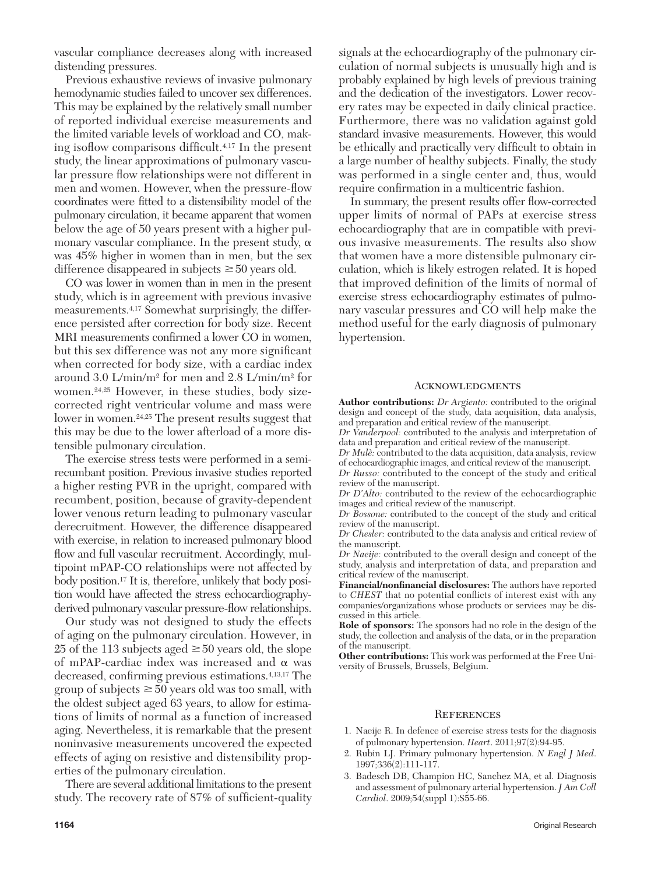vascular compliance decreases along with increased distending pressures.

 Previous exhaustive reviews of invasive pulmonary hemodynamic studies failed to uncover sex differences. This may be explained by the relatively small number of reported individual exercise measurements and the limited variable levels of workload and CO, making isoflow comparisons difficult.<sup>4,17</sup> In the present study, the linear approximations of pulmonary vascular pressure flow relationships were not different in men and women. However, when the pressure-flow coordinates were fitted to a distensibility model of the pulmonary circulation, it became apparent that women below the age of 50 years present with a higher pulmonary vascular compliance. In the present study,  $\alpha$ was 45% higher in women than in men, but the sex difference disappeared in subjects  $\geq 50$  years old.

 CO was lower in women than in men in the present study, which is in agreement with previous invasive measurements. 4,17 Somewhat surprisingly, the difference persisted after correction for body size. Recent MRI measurements confirmed a lower CO in women, but this sex difference was not any more significant when corrected for body size, with a cardiac index around 3.0 L/min/m<sup>2</sup> for men and 2.8 L/min/m<sup>2</sup> for women.<sup>24,25</sup> However, in these studies, body sizecorrected right ventricular volume and mass were lower in women. 24,25 The present results suggest that this may be due to the lower afterload of a more distensible pulmonary circulation.

 The exercise stress tests were performed in a semirecumbant position. Previous invasive studies reported a higher resting PVR in the upright, compared with recumbent, position, because of gravity-dependent lower venous return leading to pulmonary vascular derecruitment. However, the difference disappeared with exercise, in relation to increased pulmonary blood flow and full vascular recruitment. Accordingly, multipoint mPAP-CO relationships were not affected by body position. 17 It is, therefore, unlikely that body position would have affected the stress echocardiographyderived pulmonary vascular pressure-flow relationships.

 Our study was not designed to study the effects of aging on the pulmonary circulation. However, in 25 of the 113 subjects aged  $\geq$  50 years old, the slope of mPAP-cardiac index was increased and  $\alpha$  was decreased, confirming previous estimations.<sup>4,13,17</sup> The group of subjects  $\geq 50$  years old was too small, with the oldest subject aged 63 years, to allow for estimations of limits of normal as a function of increased aging. Nevertheless, it is remarkable that the present noninvasive measurements uncovered the expected effects of aging on resistive and distensibility properties of the pulmonary circulation.

 There are several additional limitations to the present study. The recovery rate of  $87\%$  of sufficient-quality signals at the echocardiography of the pulmonary circulation of normal subjects is unusually high and is probably explained by high levels of previous training and the dedication of the investigators. Lower recovery rates may be expected in daily clinical practice. Furthermore, there was no validation against gold standard invasive measurements. However, this would be ethically and practically very difficult to obtain in a large number of healthy subjects. Finally, the study was performed in a single center and, thus, would require confirmation in a multicentric fashion.

In summary, the present results offer flow-corrected upper limits of normal of PAPs at exercise stress echocardiography that are in compatible with previous invasive measurements. The results also show that women have a more distensible pulmonary circulation, which is likely estrogen related. It is hoped that improved definition of the limits of normal of exercise stress echocardiography estimates of pulmonary vascular pressures and CO will help make the method useful for the early diagnosis of pulmonary hypertension.

#### Acknowledgments

**Author contributions:** *Dr Argiento:* contributed to the original design and concept of the study, data acquisition, data analysis, and preparation and critical review of the manuscript.

- *Dr Vanderpool:* contributed to the analysis and interpretation of data and preparation and critical review of the manuscript.
- *Dr Mulè:* contributed to the data acquisition, data analysis, review of echocardiographic images, and critical review of the manu script.

*Dr Russo:* contributed to the concept of the study and critical review of the manuscript.

*Dr D'Alto:* contributed to the review of the echocardiographic images and critical review of the manuscript.

*Dr Bossone:* contributed to the concept of the study and critical review of the manuscript.

*Dr Chesler:* contributed to the data analysis and critical review of the manuscript.

*Dr Naeije:* contributed to the overall design and concept of the study, analysis and interpretation of data, and preparation and critical review of the manuscript.

Financial/nonfinancial disclosures: The authors have reported to CHEST that no potential conflicts of interest exist with any companies/organizations whose products or services may be discussed in this article.

**Role of sponsors:** The sponsors had no role in the design of the study, the collection and analysis of the data, or in the preparation of the manuscript.

**Other contributions:** This work was performed at the Free University of Brussels, Brussels, Belgium.

#### **REFERENCES**

- 1 . Naeije R . In defence of exercise stress tests for the diagnosis of pulmonary hypertension. *Heart*. 2011;97(2):94-95.
- 2 . Rubin LJ . Primary pulmonary hypertension . *N Engl J Med* . 1997;336(2):111-117.
- 3. Badesch DB, Champion HC, Sanchez MA, et al. Diagnosis and assessment of pulmonary arterial hypertension . *J Am Coll Cardiol*. 2009;54(suppl 1):S55-66.